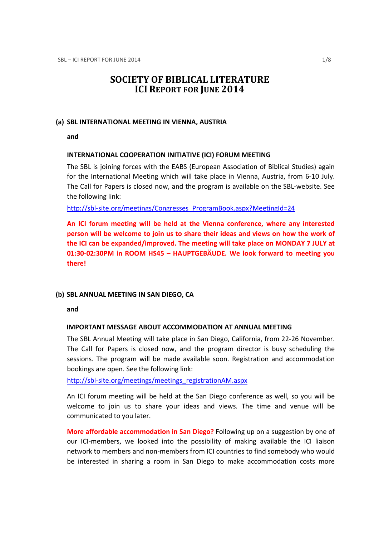# SOCIETY OF BIBLICAL LITERATURE ICI REPORT FOR JUNE 2014

# (a) SBL INTERNATIONAL MEETING IN VIENNA, AUSTRIA

and

# INTERNATIONAL COOPERATION INITIATIVE (ICI) FORUM MEETING

The SBL is joining forces with the EABS (European Association of Biblical Studies) again for the International Meeting which will take place in Vienna, Austria, from 6-10 July. The Call for Papers is closed now, and the program is available on the SBL-website. See the following link:

http://sbl-site.org/meetings/Congresses\_ProgramBook.aspx?MeetingId=24

An ICI forum meeting will be held at the Vienna conference, where any interested person will be welcome to join us to share their ideas and views on how the work of the ICI can be expanded/improved. The meeting will take place on MONDAY 7 JULY at 01:30-02:30PM in ROOM HS45 – HAUPTGEBÄUDE. We look forward to meeting you there!

### (b) SBL ANNUAL MEETING IN SAN DIEGO, CA

and

### IMPORTANT MESSAGE ABOUT ACCOMMODATION AT ANNUAL MEETING

The SBL Annual Meeting will take place in San Diego, California, from 22-26 November. The Call for Papers is closed now, and the program director is busy scheduling the sessions. The program will be made available soon. Registration and accommodation bookings are open. See the following link:

http://sbl-site.org/meetings/meetings\_registrationAM.aspx

An ICI forum meeting will be held at the San Diego conference as well, so you will be welcome to join us to share your ideas and views. The time and venue will be communicated to you later.

More affordable accommodation in San Diego? Following up on a suggestion by one of our ICI-members, we looked into the possibility of making available the ICI liaison network to members and non-members from ICI countries to find somebody who would be interested in sharing a room in San Diego to make accommodation costs more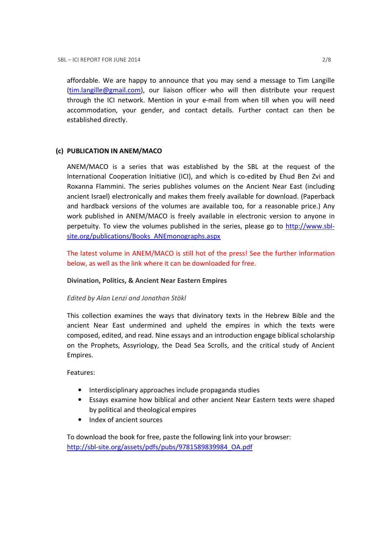affordable. We are happy to announce that you may send a message to Tim Langille (tim.langille@gmail.com), our liaison officer who will then distribute your request through the ICI network. Mention in your e-mail from when till when you will need accommodation, your gender, and contact details. Further contact can then be established directly.

# (c) PUBLICATION IN ANEM/MACO

ANEM/MACO is a series that was established by the SBL at the request of the International Cooperation Initiative (ICI), and which is co-edited by Ehud Ben Zvi and Roxanna Flammini. The series publishes volumes on the Ancient Near East (including ancient Israel) electronically and makes them freely available for download. (Paperback and hardback versions of the volumes are available too, for a reasonable price.) Any work published in ANEM/MACO is freely available in electronic version to anyone in perpetuity. To view the volumes published in the series, please go to http://www.sblsite.org/publications/Books\_ANEmonographs.aspx

The latest volume in ANEM/MACO is still hot of the press! See the further information below, as well as the link where it can be downloaded for free.

# Divination, Politics, & Ancient Near Eastern Empires

# Edited by Alan Lenzi and Jonathan Stökl

This collection examines the ways that divinatory texts in the Hebrew Bible and the ancient Near East undermined and upheld the empires in which the texts were composed, edited, and read. Nine essays and an introduction engage biblical scholarship on the Prophets, Assyriology, the Dead Sea Scrolls, and the critical study of Ancient Empires.

Features:

- Interdisciplinary approaches include propaganda studies
- Essays examine how biblical and other ancient Near Eastern texts were shaped by political and theological empires
- Index of ancient sources

To download the book for free, paste the following link into your browser: http://sbl-site.org/assets/pdfs/pubs/9781589839984\_OA.pdf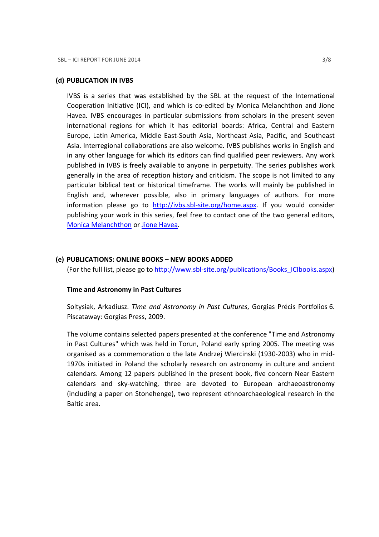# (d) PUBLICATION IN IVBS

IVBS is a series that was established by the SBL at the request of the International Cooperation Initiative (ICI), and which is co-edited by Monica Melanchthon and Jione Havea. IVBS encourages in particular submissions from scholars in the present seven international regions for which it has editorial boards: Africa, Central and Eastern Europe, Latin America, Middle East-South Asia, Northeast Asia, Pacific, and Southeast Asia. Interregional collaborations are also welcome. IVBS publishes works in English and in any other language for which its editors can find qualified peer reviewers. Any work published in IVBS is freely available to anyone in perpetuity. The series publishes work generally in the area of reception history and criticism. The scope is not limited to any particular biblical text or historical timeframe. The works will mainly be published in English and, wherever possible, also in primary languages of authors. For more information please go to http://ivbs.sbl-site.org/home.aspx. If you would consider publishing your work in this series, feel free to contact one of the two general editors, Monica Melanchthon or Jione Havea.

# (e) PUBLICATIONS: ONLINE BOOKS – NEW BOOKS ADDED

(For the full list, please go to http://www.sbl-site.org/publications/Books\_ICIbooks.aspx)

### Time and Astronomy in Past Cultures

Soltysiak, Arkadiusz. Time and Astronomy in Past Cultures, Gorgias Précis Portfolios 6. Piscataway: Gorgias Press, 2009.

The volume contains selected papers presented at the conference "Time and Astronomy in Past Cultures" which was held in Torun, Poland early spring 2005. The meeting was organised as a commemoration o the late Andrzej Wiercinski (1930-2003) who in mid-1970s initiated in Poland the scholarly research on astronomy in culture and ancient calendars. Among 12 papers published in the present book, five concern Near Eastern calendars and sky-watching, three are devoted to European archaeoastronomy (including a paper on Stonehenge), two represent ethnoarchaeological research in the Baltic area.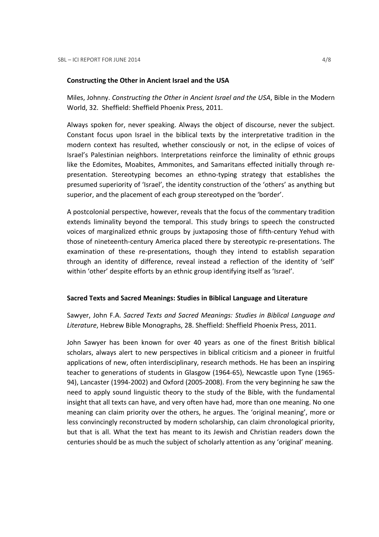#### Constructing the Other in Ancient Israel and the USA

Miles, Johnny. Constructing the Other in Ancient Israel and the USA, Bible in the Modern World, 32. Sheffield: Sheffield Phoenix Press, 2011.

Always spoken for, never speaking. Always the object of discourse, never the subject. Constant focus upon Israel in the biblical texts by the interpretative tradition in the modern context has resulted, whether consciously or not, in the eclipse of voices of Israel's Palestinian neighbors. Interpretations reinforce the liminality of ethnic groups like the Edomites, Moabites, Ammonites, and Samaritans effected initially through representation. Stereotyping becomes an ethno-typing strategy that establishes the presumed superiority of 'Israel', the identity construction of the 'others' as anything but superior, and the placement of each group stereotyped on the 'border'.

A postcolonial perspective, however, reveals that the focus of the commentary tradition extends liminality beyond the temporal. This study brings to speech the constructed voices of marginalized ethnic groups by juxtaposing those of fifth-century Yehud with those of nineteenth-century America placed there by stereotypic re-presentations. The examination of these re-presentations, though they intend to establish separation through an identity of difference, reveal instead a reflection of the identity of 'self' within 'other' despite efforts by an ethnic group identifying itself as 'Israel'.

### Sacred Texts and Sacred Meanings: Studies in Biblical Language and Literature

Sawyer, John F.A. Sacred Texts and Sacred Meanings: Studies in Biblical Language and Literature, Hebrew Bible Monographs, 28. Sheffield: Sheffield Phoenix Press, 2011.

John Sawyer has been known for over 40 years as one of the finest British biblical scholars, always alert to new perspectives in biblical criticism and a pioneer in fruitful applications of new, often interdisciplinary, research methods. He has been an inspiring teacher to generations of students in Glasgow (1964-65), Newcastle upon Tyne (1965- 94), Lancaster (1994-2002) and Oxford (2005-2008). From the very beginning he saw the need to apply sound linguistic theory to the study of the Bible, with the fundamental insight that all texts can have, and very often have had, more than one meaning. No one meaning can claim priority over the others, he argues. The 'original meaning', more or less convincingly reconstructed by modern scholarship, can claim chronological priority, but that is all. What the text has meant to its Jewish and Christian readers down the centuries should be as much the subject of scholarly attention as any 'original' meaning.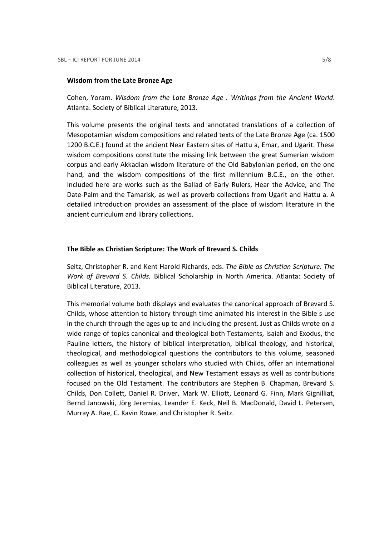#### Wisdom from the Late Bronze Age

Cohen, Yoram. Wisdom from the Late Bronze Age . Writings from the Ancient World. Atlanta: Society of Biblical Literature, 2013.

This volume presents the original texts and annotated translations of a collection of Mesopotamian wisdom compositions and related texts of the Late Bronze Age (ca. 1500 1200 B.C.E.) found at the ancient Near Eastern sites of Hattu a, Emar, and Ugarit. These wisdom compositions constitute the missing link between the great Sumerian wisdom corpus and early Akkadian wisdom literature of the Old Babylonian period, on the one hand, and the wisdom compositions of the first millennium B.C.E., on the other. Included here are works such as the Ballad of Early Rulers, Hear the Advice, and The Date-Palm and the Tamarisk, as well as proverb collections from Ugarit and Hattu a. A detailed introduction provides an assessment of the place of wisdom literature in the ancient curriculum and library collections.

#### The Bible as Christian Scripture: The Work of Brevard S. Childs

Seitz, Christopher R. and Kent Harold Richards, eds. The Bible as Christian Scripture: The Work of Brevard S. Childs. Biblical Scholarship in North America. Atlanta: Society of Biblical Literature, 2013.

This memorial volume both displays and evaluates the canonical approach of Brevard S. Childs, whose attention to history through time animated his interest in the Bible s use in the church through the ages up to and including the present. Just as Childs wrote on a wide range of topics canonical and theological both Testaments, Isaiah and Exodus, the Pauline letters, the history of biblical interpretation, biblical theology, and historical, theological, and methodological questions the contributors to this volume, seasoned colleagues as well as younger scholars who studied with Childs, offer an international collection of historical, theological, and New Testament essays as well as contributions focused on the Old Testament. The contributors are Stephen B. Chapman, Brevard S. Childs, Don Collett, Daniel R. Driver, Mark W. Elliott, Leonard G. Finn, Mark Gignilliat, Bernd Janowski, Jörg Jeremias, Leander E. Keck, Neil B. MacDonald, David L. Petersen, Murray A. Rae, C. Kavin Rowe, and Christopher R. Seitz.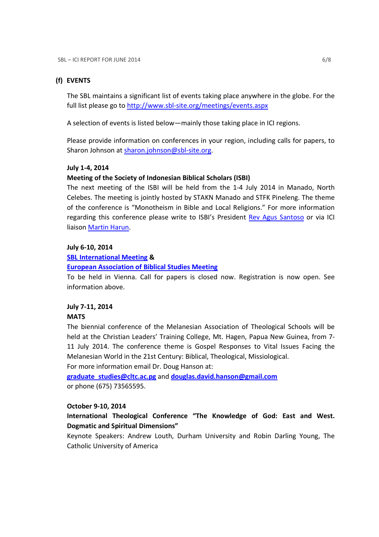# (f) EVENTS

The SBL maintains a significant list of events taking place anywhere in the globe. For the full list please go to http://www.sbl-site.org/meetings/events.aspx

A selection of events is listed below—mainly those taking place in ICI regions.

Please provide information on conferences in your region, including calls for papers, to Sharon Johnson at sharon.johnson@sbl-site.org.

### July 1-4, 2014

# Meeting of the Society of Indonesian Biblical Scholars (ISBI)

The next meeting of the ISBI will be held from the 1-4 July 2014 in Manado, North Celebes. The meeting is jointly hosted by STAKN Manado and STFK Pineleng. The theme of the conference is "Monotheism in Bible and Local Religions." For more information regarding this conference please write to ISBI's President Rev Agus Santoso or via ICI liaison Martin Harun.

# July 6-10, 2014

### SBL International Meeting &

### European Association of Biblical Studies Meeting

To be held in Vienna. Call for papers is closed now. Registration is now open. See information above.

### July 7-11, 2014

# **MATS**

The biennial conference of the Melanesian Association of Theological Schools will be held at the Christian Leaders' Training College, Mt. Hagen, Papua New Guinea, from 7- 11 July 2014. The conference theme is Gospel Responses to Vital Issues Facing the Melanesian World in the 21st Century: Biblical, Theological, Missiological. For more information email Dr. Doug Hanson at:

graduate\_studies@cltc.ac.pg and douglas.david.hanson@gmail.com or phone (675) 73565595.

### October 9-10, 2014

International Theological Conference "The Knowledge of God: East and West. Dogmatic and Spiritual Dimensions"

Keynote Speakers: Andrew Louth, Durham University and Robin Darling Young, The Catholic University of America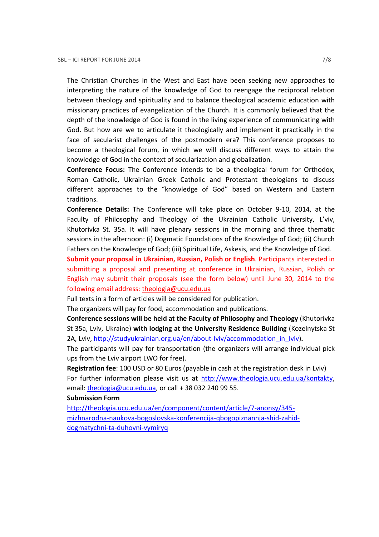The Christian Churches in the West and East have been seeking new approaches to interpreting the nature of the knowledge of God to reengage the reciprocal relation between theology and spirituality and to balance theological academic education with missionary practices of evangelization of the Church. It is commonly believed that the depth of the knowledge of God is found in the living experience of communicating with God. But how are we to articulate it theologically and implement it practically in the face of secularist challenges of the postmodern era? This conference proposes to become a theological forum, in which we will discuss different ways to attain the knowledge of God in the context of secularization and globalization.

Conference Focus: The Conference intends to be a theological forum for Orthodox, Roman Catholic, Ukrainian Greek Catholic and Protestant theologians to discuss different approaches to the "knowledge of God" based on Western and Eastern traditions.

Conference Details: The Conference will take place on October 9-10, 2014, at the Faculty of Philosophy and Theology of the Ukrainian Catholic University, L'viv, Khutorivka St. 35a. It will have plenary sessions in the morning and three thematic sessions in the afternoon: (i) Dogmatic Foundations of the Knowledge of God; (ii) Church Fathers on the Knowledge of God; (iii) Spiritual Life, Askesis, and the Knowledge of God.

Submit your proposal in Ukrainian, Russian, Polish or English. Participants interested in submitting a proposal and presenting at conference in Ukrainian, Russian, Polish or English may submit their proposals (see the form below) until June 30, 2014 to the following email address: theologia@ucu.edu.ua

Full texts in a form of articles will be considered for publication.

The organizers will pay for food, accommodation and publications.

Conference sessions will be held at the Faculty of Philosophy and Theology (Khutorivka St 35a, Lviv, Ukraine) with lodging at the University Residence Building (Kozelnytska St 2A, Lviv, http://studyukrainian.org.ua/en/about-lviv/accommodation\_in\_lviv).

The participants will pay for transportation (the organizers will arrange individual pick ups from the Lviv airport LWO for free).

Registration fee: 100 USD or 80 Euros (payable in cash at the registration desk in Lviv) For further information please visit us at http://www.theologia.ucu.edu.ua/kontakty, email: theologia@ucu.edu.ua, or call + 38 032 240 99 55.

### Submission Form

http://theologia.ucu.edu.ua/en/component/content/article/7-anonsy/345 mizhnarodna-naukova-bogoslovska-konferencija-qbogopiznannja-shid-zahiddogmatychni-ta-duhovni-vymiryq